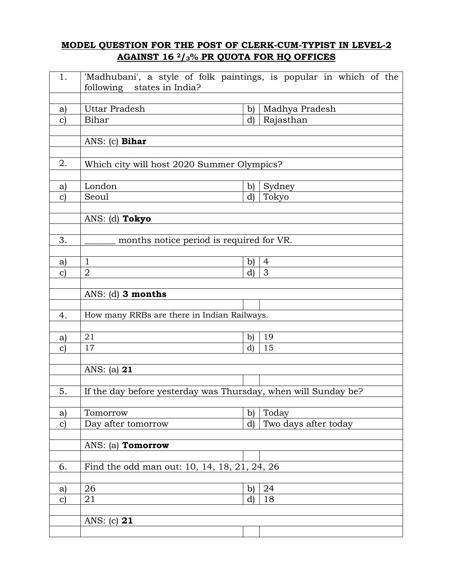## **MODEL QUESTION FOR THE POST OF CLERK-CUM-TYPIST IN LEVEL-2 AGAINST 16 2/3% PR QUOTA FOR HQ OFFICES**

| 1.                 | 'Madhubani', a style of folk paintings, is popular in which of the<br>following states in India? |                              |                             |  |  |  |
|--------------------|--------------------------------------------------------------------------------------------------|------------------------------|-----------------------------|--|--|--|
|                    |                                                                                                  |                              |                             |  |  |  |
| a)<br>$\mathbf{C}$ | Uttar Pradesh<br>Bihar                                                                           | $\mathbf{b}$<br>$\mathbf{d}$ | Madhya Pradesh<br>Rajasthan |  |  |  |
|                    |                                                                                                  |                              |                             |  |  |  |
|                    | ANS: $(c)$ Bihar                                                                                 |                              |                             |  |  |  |
| 2.                 | Which city will host 2020 Summer Olympics?                                                       |                              |                             |  |  |  |
|                    |                                                                                                  |                              |                             |  |  |  |
| a)                 | London                                                                                           | b)                           | Sydney                      |  |  |  |
| $\mathbf{c})$      | Seoul                                                                                            | $\rm d$                      | Tokyo                       |  |  |  |
|                    | ANS: (d) Tokyo                                                                                   |                              |                             |  |  |  |
| 3.                 | months notice period is required for VR.                                                         |                              |                             |  |  |  |
|                    |                                                                                                  |                              |                             |  |  |  |
| a)                 | $\mathbf{1}$                                                                                     | $\mathbf{b}$                 | $\overline{4}$              |  |  |  |
| $\mathbf{c})$      | $\overline{2}$                                                                                   | $\mathbf{d}$                 | 3                           |  |  |  |
|                    |                                                                                                  |                              |                             |  |  |  |
|                    | ANS: (d) 3 months                                                                                |                              |                             |  |  |  |
|                    |                                                                                                  |                              |                             |  |  |  |
| 4.                 | How many RRBs are there in Indian Railways.                                                      |                              |                             |  |  |  |
|                    |                                                                                                  |                              |                             |  |  |  |
| a)                 | 21                                                                                               | $\mathbf{b}$                 | 19                          |  |  |  |
| $\mathbf{c}$       | 17                                                                                               | $\mathbf{d}$                 | 15                          |  |  |  |
|                    |                                                                                                  |                              |                             |  |  |  |
|                    | ANS: (a) 21                                                                                      |                              |                             |  |  |  |
|                    |                                                                                                  |                              |                             |  |  |  |
| 5.                 | If the day before yesterday was Thursday, when will Sunday be?                                   |                              |                             |  |  |  |
|                    |                                                                                                  |                              |                             |  |  |  |
| a)                 | Tomorrow                                                                                         | $\mathbf{b}$                 | Today                       |  |  |  |
| $\mathbf{c})$      | Day after tomorrow                                                                               | $\rm d$                      | Two days after today        |  |  |  |
|                    |                                                                                                  |                              |                             |  |  |  |
|                    | ANS: (a) Tomorrow                                                                                |                              |                             |  |  |  |
|                    |                                                                                                  |                              |                             |  |  |  |
| 6.                 | Find the odd man out: 10, 14, 18, 21, 24, 26                                                     |                              |                             |  |  |  |
|                    |                                                                                                  |                              |                             |  |  |  |
| a)                 | 26                                                                                               | b)                           | 24                          |  |  |  |
| $\mathbf{c})$      | 21                                                                                               | $\mathbf{d}$                 | 18                          |  |  |  |
|                    |                                                                                                  |                              |                             |  |  |  |
|                    | ANS: (c) $21$                                                                                    |                              |                             |  |  |  |
|                    |                                                                                                  |                              |                             |  |  |  |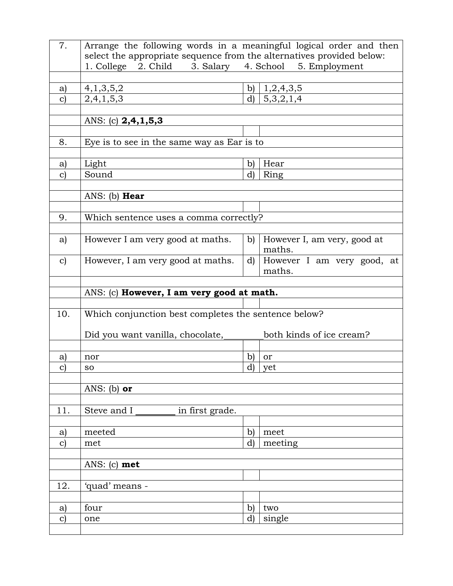| 7.            | Arrange the following words in a meaningful logical order and then                                            |                    |                                      |  |  |  |
|---------------|---------------------------------------------------------------------------------------------------------------|--------------------|--------------------------------------|--|--|--|
|               | select the appropriate sequence from the alternatives provided below:<br>1. College<br>3. Salary<br>4. School |                    |                                      |  |  |  |
|               | 2. Child                                                                                                      |                    | 5. Employment                        |  |  |  |
| a)            | 4,1,3,5,2                                                                                                     | b)                 | 1,2,4,3,5                            |  |  |  |
| $\mathbf{C}$  | 2,4,1,5,3                                                                                                     | d)                 | 5,3,2,1,4                            |  |  |  |
|               |                                                                                                               |                    |                                      |  |  |  |
|               | ANS: (c) 2,4,1,5,3                                                                                            |                    |                                      |  |  |  |
| 8.            | Eye is to see in the same way as Ear is to                                                                    |                    |                                      |  |  |  |
|               |                                                                                                               |                    |                                      |  |  |  |
| a)            | Light                                                                                                         | b)                 | Hear                                 |  |  |  |
| $\mathbf{C}$  | Sound                                                                                                         | d)                 | Ring                                 |  |  |  |
|               |                                                                                                               |                    |                                      |  |  |  |
|               | ANS: (b) <b>Hear</b>                                                                                          |                    |                                      |  |  |  |
| 9.            | Which sentence uses a comma correctly?                                                                        |                    |                                      |  |  |  |
|               |                                                                                                               |                    |                                      |  |  |  |
| a)            | However I am very good at maths.                                                                              | b)                 | However I, am very, good at          |  |  |  |
|               |                                                                                                               |                    | maths.                               |  |  |  |
| $\mathbf{c}$  | However, I am very good at maths.                                                                             | d)                 | However I am very good, at<br>maths. |  |  |  |
|               |                                                                                                               |                    |                                      |  |  |  |
|               | ANS: (c) However, I am very good at math.                                                                     |                    |                                      |  |  |  |
|               |                                                                                                               |                    |                                      |  |  |  |
|               |                                                                                                               |                    |                                      |  |  |  |
| 10.           | Which conjunction best completes the sentence below?                                                          |                    |                                      |  |  |  |
|               |                                                                                                               |                    |                                      |  |  |  |
|               | Did you want vanilla, chocolate,                                                                              |                    | both kinds of ice cream?             |  |  |  |
| a)            | nor                                                                                                           |                    | or                                   |  |  |  |
| $\mathbf{C}$  | <b>SO</b>                                                                                                     | b)<br>$\mathbf{d}$ | yet                                  |  |  |  |
|               |                                                                                                               |                    |                                      |  |  |  |
|               | ANS: (b) or                                                                                                   |                    |                                      |  |  |  |
|               |                                                                                                               |                    |                                      |  |  |  |
| 11.           | Steve and I<br>in first grade.                                                                                |                    |                                      |  |  |  |
| a)            | meeted                                                                                                        | $\mathbf{b}$       | meet                                 |  |  |  |
| $\mathbf{c})$ | met                                                                                                           | $\mathbf{d}$       | meeting                              |  |  |  |
|               |                                                                                                               |                    |                                      |  |  |  |
|               | ANS: $(c)$ met                                                                                                |                    |                                      |  |  |  |
|               |                                                                                                               |                    |                                      |  |  |  |
| 12.           | 'quad' means -                                                                                                |                    |                                      |  |  |  |
| a)            | four                                                                                                          | $\mathbf{b}$       | two                                  |  |  |  |
| $\mathbf{c})$ | one                                                                                                           | $\bf d$            | single                               |  |  |  |